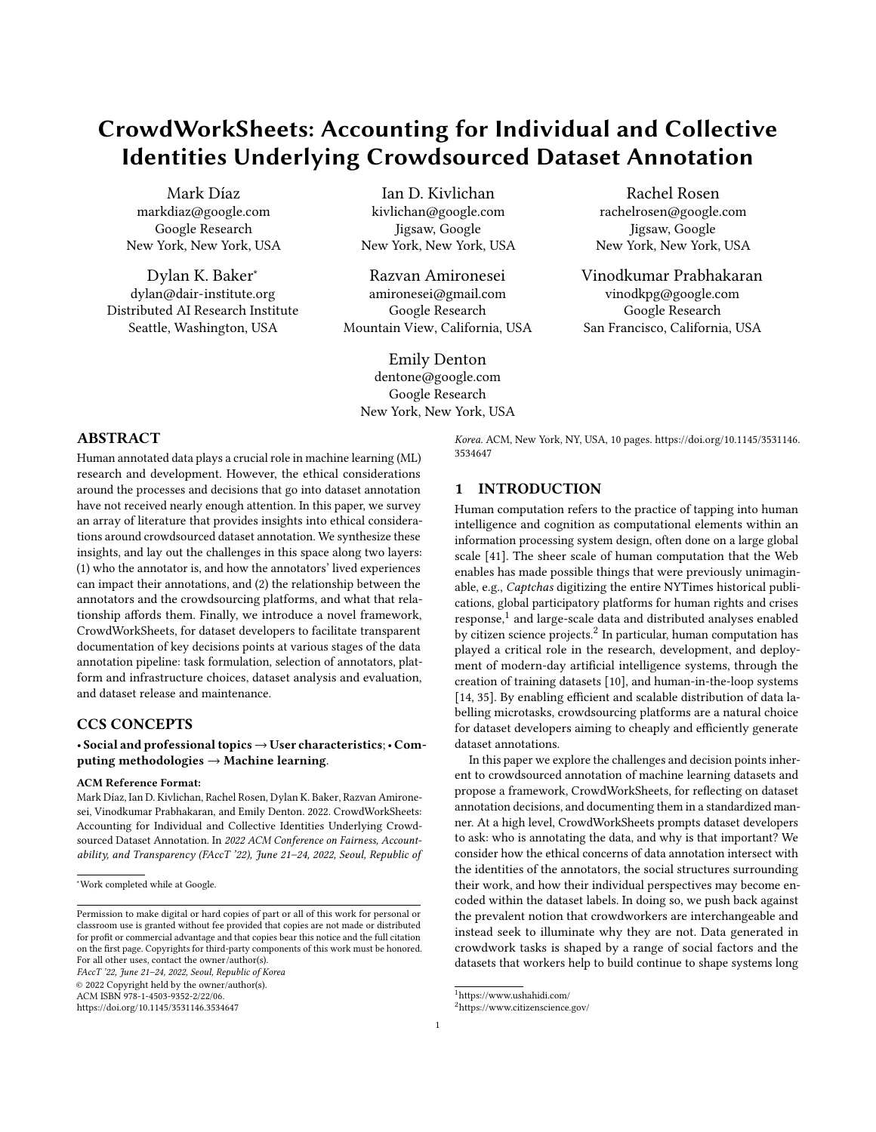# CrowdWorkSheets: Accounting for Individual and Collective Identities Underlying Crowdsourced Dataset Annotation

[Mark Díaz](https://orcid.org/0000-0003-0167-9839) markdiaz@google.com Google Research New York, New York, USA

[Dylan K. Baker](https://orcid.org/0000-0002-2468-2347)<sup>∗</sup> dylan@dair-institute.org Distributed AI Research Institute Seattle, Washington, USA

[Ian D. Kivlichan](https://orcid.org/0000-0003-2719-2500) kivlichan@google.com Jigsaw, Google New York, New York, USA

[Razvan Amironesei](https://orcid.org/0000-0002-3497-0641) amironesei@gmail.com Google Research Mountain View, California, USA

rachelrosen@google.com Jigsaw, Google New York, New York, USA

[Rachel Rosen](https://orcid.org/0000-0003-2927-1245)

[Vinodkumar Prabhakaran](https://orcid.org/0000-0003-3329-2305) vinodkpg@google.com Google Research San Francisco, California, USA

[Emily Denton](https://orcid.org/0000-0003-4915-0512) dentone@google.com Google Research New York, New York, USA

#### ABSTRACT

Human annotated data plays a crucial role in machine learning (ML) research and development. However, the ethical considerations around the processes and decisions that go into dataset annotation have not received nearly enough attention. In this paper, we survey an array of literature that provides insights into ethical considerations around crowdsourced dataset annotation. We synthesize these insights, and lay out the challenges in this space along two layers: (1) who the annotator is, and how the annotators' lived experiences can impact their annotations, and (2) the relationship between the annotators and the crowdsourcing platforms, and what that relationship affords them. Finally, we introduce a novel framework, CrowdWorkSheets, for dataset developers to facilitate transparent documentation of key decisions points at various stages of the data annotation pipeline: task formulation, selection of annotators, platform and infrastructure choices, dataset analysis and evaluation, and dataset release and maintenance.

### CCS CONCEPTS

• Social and professional topics→User characteristics;• Computing methodologies  $\rightarrow$  Machine learning.

#### ACM Reference Format:

Mark Díaz, Ian D. Kivlichan, Rachel Rosen, Dylan K. Baker, Razvan Amironesei, Vinodkumar Prabhakaran, and Emily Denton. 2022. CrowdWorkSheets: Accounting for Individual and Collective Identities Underlying Crowdsourced Dataset Annotation. In 2022 ACM Conference on Fairness, Accountability, and Transparency (FAccT '22), June 21–24, 2022, Seoul, Republic of

FAccT '22, June 21–24, 2022, Seoul, Republic of Korea

<https://doi.org/10.1145/3531146.3534647>

Korea. ACM, New York, NY, USA, [10](#page-9-0) pages. [https://doi.org/10.1145/3531146.](https://doi.org/10.1145/3531146.3534647) [3534647](https://doi.org/10.1145/3531146.3534647)

## 1 INTRODUCTION

Human computation refers to the practice of tapping into human intelligence and cognition as computational elements within an information processing system design, often done on a large global scale [\[41\]](#page-9-1). The sheer scale of human computation that the Web enables has made possible things that were previously unimaginable, e.g., Captchas digitizing the entire NYTimes historical publications, global participatory platforms for human rights and crises response,<sup>[1](#page-0-0)</sup> and large-scale data and distributed analyses enabled by citizen science projects.<sup>[2](#page-0-1)</sup> In particular, human computation has played a critical role in the research, development, and deployment of modern-day artificial intelligence systems, through the creation of training datasets [\[10\]](#page-8-0), and human-in-the-loop systems [\[14,](#page-8-1) [35\]](#page-9-2). By enabling efficient and scalable distribution of data labelling microtasks, crowdsourcing platforms are a natural choice for dataset developers aiming to cheaply and efficiently generate dataset annotations.

In this paper we explore the challenges and decision points inherent to crowdsourced annotation of machine learning datasets and propose a framework, CrowdWorkSheets, for reflecting on dataset annotation decisions, and documenting them in a standardized manner. At a high level, CrowdWorkSheets prompts dataset developers to ask: who is annotating the data, and why is that important? We consider how the ethical concerns of data annotation intersect with the identities of the annotators, the social structures surrounding their work, and how their individual perspectives may become encoded within the dataset labels. In doing so, we push back against the prevalent notion that crowdworkers are interchangeable and instead seek to illuminate why they are not. Data generated in crowdwork tasks is shaped by a range of social factors and the datasets that workers help to build continue to shape systems long

<sup>∗</sup>Work completed while at Google.

Permission to make digital or hard copies of part or all of this work for personal or classroom use is granted without fee provided that copies are not made or distributed for profit or commercial advantage and that copies bear this notice and the full citation on the first page. Copyrights for third-party components of this work must be honored. For all other uses, contact the owner/author(s).

<sup>©</sup> 2022 Copyright held by the owner/author(s). ACM ISBN 978-1-4503-9352-2/22/06.

<span id="page-0-0"></span><sup>1</sup>https://www.ushahidi.com/

<span id="page-0-1"></span><sup>2</sup>https://www.citizenscience.gov/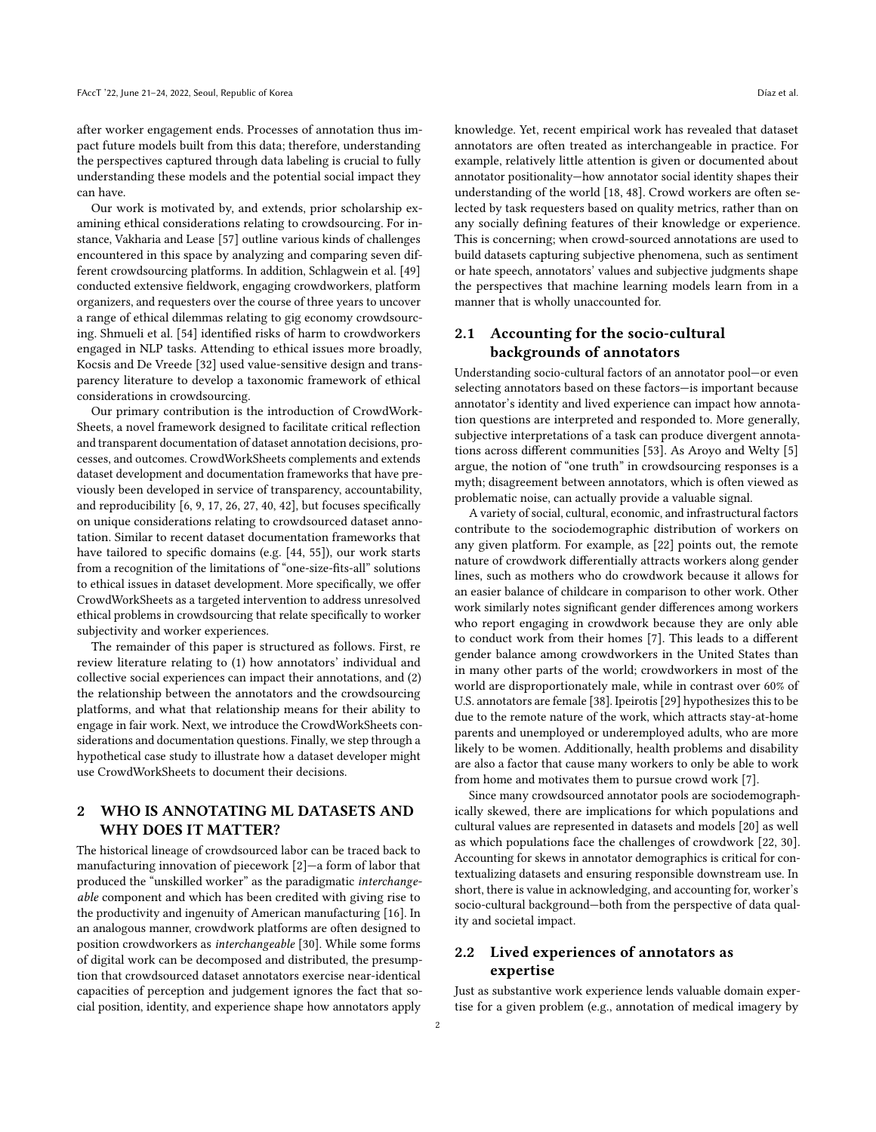after worker engagement ends. Processes of annotation thus impact future models built from this data; therefore, understanding the perspectives captured through data labeling is crucial to fully understanding these models and the potential social impact they can have.

Our work is motivated by, and extends, prior scholarship examining ethical considerations relating to crowdsourcing. For instance, Vakharia and Lease [\[57\]](#page-9-3) outline various kinds of challenges encountered in this space by analyzing and comparing seven different crowdsourcing platforms. In addition, Schlagwein et al. [\[49\]](#page-9-4) conducted extensive fieldwork, engaging crowdworkers, platform organizers, and requesters over the course of three years to uncover a range of ethical dilemmas relating to gig economy crowdsourcing. Shmueli et al. [\[54\]](#page-9-5) identified risks of harm to crowdworkers engaged in NLP tasks. Attending to ethical issues more broadly, Kocsis and De Vreede [\[32\]](#page-9-6) used value-sensitive design and transparency literature to develop a taxonomic framework of ethical considerations in crowdsourcing.

Our primary contribution is the introduction of CrowdWork-Sheets, a novel framework designed to facilitate critical reflection and transparent documentation of dataset annotation decisions, processes, and outcomes. CrowdWorkSheets complements and extends dataset development and documentation frameworks that have previously been developed in service of transparency, accountability, and reproducibility [\[6,](#page-8-2) [9,](#page-8-3) [17,](#page-9-7) [26,](#page-9-8) [27,](#page-9-9) [40,](#page-9-10) [42\]](#page-9-11), but focuses specifically on unique considerations relating to crowdsourced dataset annotation. Similar to recent dataset documentation frameworks that have tailored to specific domains (e.g. [\[44,](#page-9-12) [55\]](#page-9-13)), our work starts from a recognition of the limitations of "one-size-fits-all" solutions to ethical issues in dataset development. More specifically, we offer CrowdWorkSheets as a targeted intervention to address unresolved ethical problems in crowdsourcing that relate specifically to worker subjectivity and worker experiences.

The remainder of this paper is structured as follows. First, re review literature relating to (1) how annotators' individual and collective social experiences can impact their annotations, and (2) the relationship between the annotators and the crowdsourcing platforms, and what that relationship means for their ability to engage in fair work. Next, we introduce the CrowdWorkSheets considerations and documentation questions. Finally, we step through a hypothetical case study to illustrate how a dataset developer might use CrowdWorkSheets to document their decisions.

## 2 WHO IS ANNOTATING ML DATASETS AND WHY DOES IT MATTER?

The historical lineage of crowdsourced labor can be traced back to manufacturing innovation of piecework [\[2\]](#page-8-4)—a form of labor that produced the "unskilled worker" as the paradigmatic interchangeable component and which has been credited with giving rise to the productivity and ingenuity of American manufacturing [\[16\]](#page-8-5). In an analogous manner, crowdwork platforms are often designed to position crowdworkers as interchangeable [\[30\]](#page-9-14). While some forms of digital work can be decomposed and distributed, the presumption that crowdsourced dataset annotators exercise near-identical capacities of perception and judgement ignores the fact that social position, identity, and experience shape how annotators apply

knowledge. Yet, recent empirical work has revealed that dataset annotators are often treated as interchangeable in practice. For example, relatively little attention is given or documented about annotator positionality—how annotator social identity shapes their understanding of the world [\[18,](#page-9-15) [48\]](#page-9-16). Crowd workers are often selected by task requesters based on quality metrics, rather than on any socially defining features of their knowledge or experience. This is concerning; when crowd-sourced annotations are used to build datasets capturing subjective phenomena, such as sentiment or hate speech, annotators' values and subjective judgments shape the perspectives that machine learning models learn from in a manner that is wholly unaccounted for.

## 2.1 Accounting for the socio-cultural backgrounds of annotators

Understanding socio-cultural factors of an annotator pool—or even selecting annotators based on these factors—is important because annotator's identity and lived experience can impact how annotation questions are interpreted and responded to. More generally, subjective interpretations of a task can produce divergent annotations across different communities [\[53\]](#page-9-17). As Aroyo and Welty [\[5\]](#page-8-6) argue, the notion of "one truth" in crowdsourcing responses is a myth; disagreement between annotators, which is often viewed as problematic noise, can actually provide a valuable signal.

A variety of social, cultural, economic, and infrastructural factors contribute to the sociodemographic distribution of workers on any given platform. For example, as [\[22\]](#page-9-18) points out, the remote nature of crowdwork differentially attracts workers along gender lines, such as mothers who do crowdwork because it allows for an easier balance of childcare in comparison to other work. Other work similarly notes significant gender differences among workers who report engaging in crowdwork because they are only able to conduct work from their homes [\[7\]](#page-8-7). This leads to a different gender balance among crowdworkers in the United States than in many other parts of the world; crowdworkers in most of the world are disproportionately male, while in contrast over 60% of U.S. annotators are female [\[38\]](#page-9-19). Ipeirotis[\[29\]](#page-9-20) hypothesizes this to be due to the remote nature of the work, which attracts stay-at-home parents and unemployed or underemployed adults, who are more likely to be women. Additionally, health problems and disability are also a factor that cause many workers to only be able to work from home and motivates them to pursue crowd work [\[7\]](#page-8-7).

Since many crowdsourced annotator pools are sociodemographically skewed, there are implications for which populations and cultural values are represented in datasets and models [\[20\]](#page-9-21) as well as which populations face the challenges of crowdwork [\[22,](#page-9-18) [30\]](#page-9-14). Accounting for skews in annotator demographics is critical for contextualizing datasets and ensuring responsible downstream use. In short, there is value in acknowledging, and accounting for, worker's socio-cultural background—both from the perspective of data quality and societal impact.

## 2.2 Lived experiences of annotators as expertise

Just as substantive work experience lends valuable domain expertise for a given problem (e.g., annotation of medical imagery by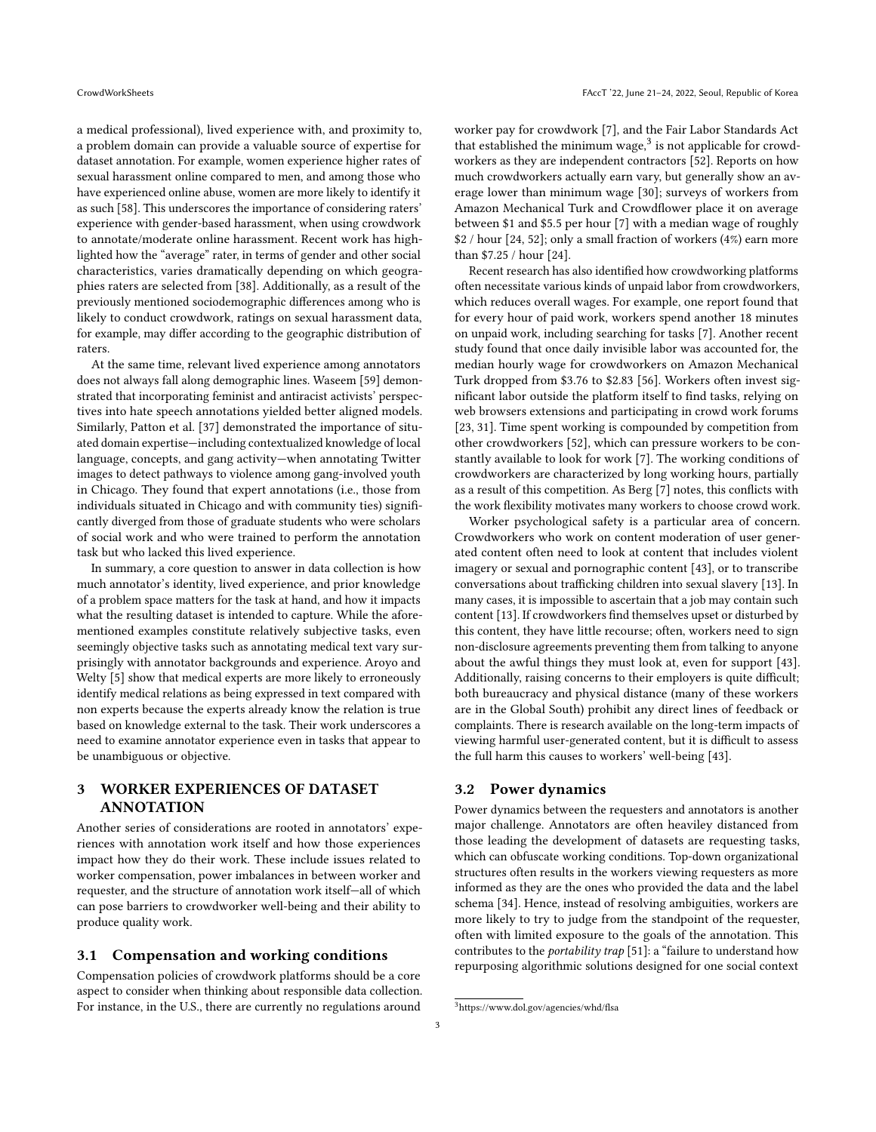a medical professional), lived experience with, and proximity to, a problem domain can provide a valuable source of expertise for dataset annotation. For example, women experience higher rates of sexual harassment online compared to men, and among those who have experienced online abuse, women are more likely to identify it as such [\[58\]](#page-9-22). This underscores the importance of considering raters' experience with gender-based harassment, when using crowdwork to annotate/moderate online harassment. Recent work has highlighted how the "average" rater, in terms of gender and other social characteristics, varies dramatically depending on which geographies raters are selected from [\[38\]](#page-9-19). Additionally, as a result of the previously mentioned sociodemographic differences among who is likely to conduct crowdwork, ratings on sexual harassment data, for example, may differ according to the geographic distribution of raters.

At the same time, relevant lived experience among annotators does not always fall along demographic lines. Waseem [\[59\]](#page-9-23) demonstrated that incorporating feminist and antiracist activists' perspectives into hate speech annotations yielded better aligned models. Similarly, Patton et al. [\[37\]](#page-9-24) demonstrated the importance of situated domain expertise—including contextualized knowledge of local language, concepts, and gang activity—when annotating Twitter images to detect pathways to violence among gang-involved youth in Chicago. They found that expert annotations (i.e., those from individuals situated in Chicago and with community ties) significantly diverged from those of graduate students who were scholars of social work and who were trained to perform the annotation task but who lacked this lived experience.

In summary, a core question to answer in data collection is how much annotator's identity, lived experience, and prior knowledge of a problem space matters for the task at hand, and how it impacts what the resulting dataset is intended to capture. While the aforementioned examples constitute relatively subjective tasks, even seemingly objective tasks such as annotating medical text vary surprisingly with annotator backgrounds and experience. Aroyo and Welty [\[5\]](#page-8-6) show that medical experts are more likely to erroneously identify medical relations as being expressed in text compared with non experts because the experts already know the relation is true based on knowledge external to the task. Their work underscores a need to examine annotator experience even in tasks that appear to be unambiguous or objective.

## <span id="page-2-1"></span>3 WORKER EXPERIENCES OF DATASET ANNOTATION

Another series of considerations are rooted in annotators' experiences with annotation work itself and how those experiences impact how they do their work. These include issues related to worker compensation, power imbalances in between worker and requester, and the structure of annotation work itself—all of which can pose barriers to crowdworker well-being and their ability to produce quality work.

#### 3.1 Compensation and working conditions

Compensation policies of crowdwork platforms should be a core aspect to consider when thinking about responsible data collection. For instance, in the U.S., there are currently no regulations around worker pay for crowdwork [\[7\]](#page-8-7), and the Fair Labor Standards Act that established the minimum wage, $3$  is not applicable for crowdworkers as they are independent contractors [\[52\]](#page-9-25). Reports on how much crowdworkers actually earn vary, but generally show an average lower than minimum wage [\[30\]](#page-9-14); surveys of workers from Amazon Mechanical Turk and Crowdflower place it on average between \$1 and \$5.5 per hour [\[7\]](#page-8-7) with a median wage of roughly \$2 / hour [\[24,](#page-9-26) [52\]](#page-9-25); only a small fraction of workers (4%) earn more than \$7.25 / hour [\[24\]](#page-9-26).

Recent research has also identified how crowdworking platforms often necessitate various kinds of unpaid labor from crowdworkers, which reduces overall wages. For example, one report found that for every hour of paid work, workers spend another 18 minutes on unpaid work, including searching for tasks [\[7\]](#page-8-7). Another recent study found that once daily invisible labor was accounted for, the median hourly wage for crowdworkers on Amazon Mechanical Turk dropped from \$3.76 to \$2.83 [\[56\]](#page-9-27). Workers often invest significant labor outside the platform itself to find tasks, relying on web browsers extensions and participating in crowd work forums [\[23,](#page-9-28) [31\]](#page-9-29). Time spent working is compounded by competition from other crowdworkers [\[52\]](#page-9-25), which can pressure workers to be constantly available to look for work [\[7\]](#page-8-7). The working conditions of crowdworkers are characterized by long working hours, partially as a result of this competition. As Berg [\[7\]](#page-8-7) notes, this conflicts with the work flexibility motivates many workers to choose crowd work.

Worker psychological safety is a particular area of concern. Crowdworkers who work on content moderation of user generated content often need to look at content that includes violent imagery or sexual and pornographic content [\[43\]](#page-9-30), or to transcribe conversations about trafficking children into sexual slavery [\[13\]](#page-8-8). In many cases, it is impossible to ascertain that a job may contain such content [\[13\]](#page-8-8). If crowdworkers find themselves upset or disturbed by this content, they have little recourse; often, workers need to sign non-disclosure agreements preventing them from talking to anyone about the awful things they must look at, even for support [\[43\]](#page-9-30). Additionally, raising concerns to their employers is quite difficult; both bureaucracy and physical distance (many of these workers are in the Global South) prohibit any direct lines of feedback or complaints. There is research available on the long-term impacts of viewing harmful user-generated content, but it is difficult to assess the full harm this causes to workers' well-being [\[43\]](#page-9-30).

#### 3.2 Power dynamics

Power dynamics between the requesters and annotators is another major challenge. Annotators are often heaviley distanced from those leading the development of datasets are requesting tasks, which can obfuscate working conditions. Top-down organizational structures often results in the workers viewing requesters as more informed as they are the ones who provided the data and the label schema [\[34\]](#page-9-31). Hence, instead of resolving ambiguities, workers are more likely to try to judge from the standpoint of the requester, often with limited exposure to the goals of the annotation. This contributes to the *portability trap* [\[51\]](#page-9-32): a "failure to understand how repurposing algorithmic solutions designed for one social context

<span id="page-2-0"></span><sup>3</sup>https://www.dol.gov/agencies/whd/flsa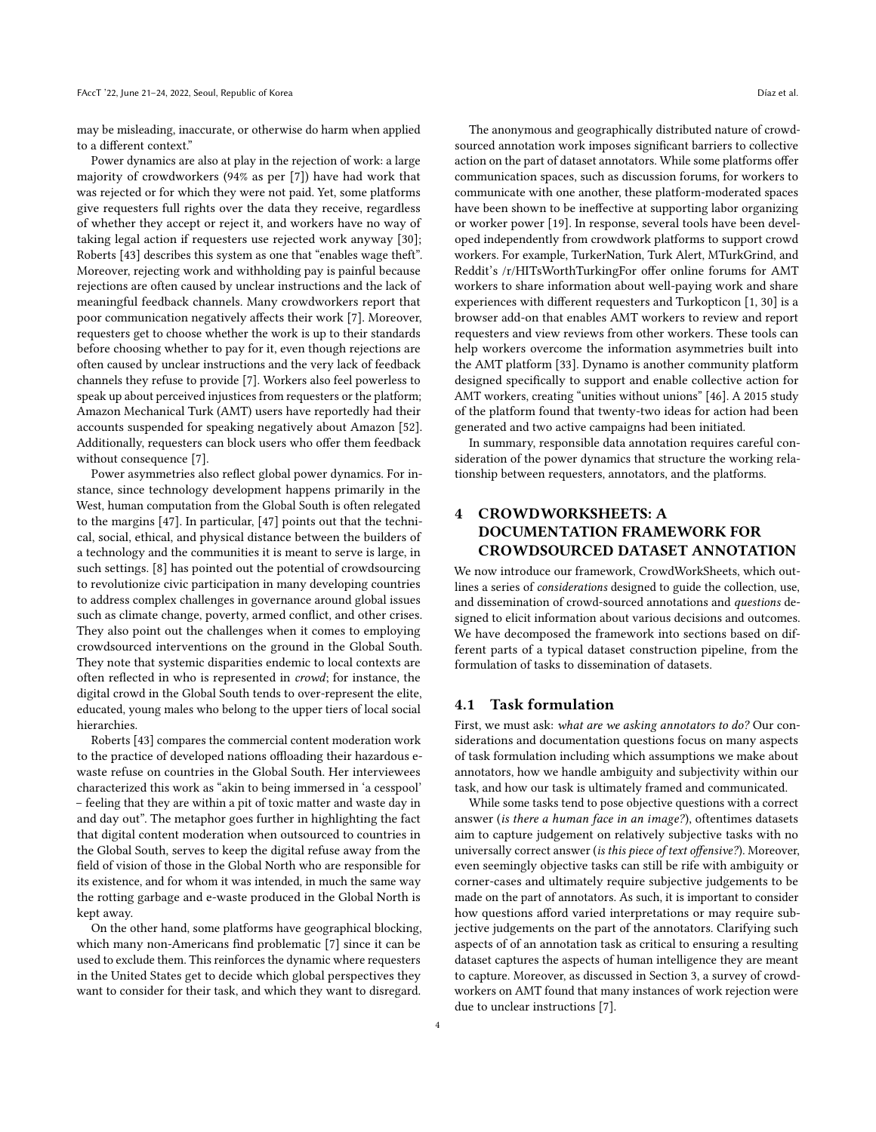may be misleading, inaccurate, or otherwise do harm when applied to a different context."

Power dynamics are also at play in the rejection of work: a large majority of crowdworkers (94% as per [\[7\]](#page-8-7)) have had work that was rejected or for which they were not paid. Yet, some platforms give requesters full rights over the data they receive, regardless of whether they accept or reject it, and workers have no way of taking legal action if requesters use rejected work anyway [\[30\]](#page-9-14); Roberts [\[43\]](#page-9-30) describes this system as one that "enables wage theft". Moreover, rejecting work and withholding pay is painful because rejections are often caused by unclear instructions and the lack of meaningful feedback channels. Many crowdworkers report that poor communication negatively affects their work [\[7\]](#page-8-7). Moreover, requesters get to choose whether the work is up to their standards before choosing whether to pay for it, even though rejections are often caused by unclear instructions and the very lack of feedback channels they refuse to provide [\[7\]](#page-8-7). Workers also feel powerless to speak up about perceived injustices from requesters or the platform; Amazon Mechanical Turk (AMT) users have reportedly had their accounts suspended for speaking negatively about Amazon [\[52\]](#page-9-25). Additionally, requesters can block users who offer them feedback without consequence [\[7\]](#page-8-7).

Power asymmetries also reflect global power dynamics. For instance, since technology development happens primarily in the West, human computation from the Global South is often relegated to the margins [\[47\]](#page-9-33). In particular, [\[47\]](#page-9-33) points out that the technical, social, ethical, and physical distance between the builders of a technology and the communities it is meant to serve is large, in such settings. [\[8\]](#page-8-9) has pointed out the potential of crowdsourcing to revolutionize civic participation in many developing countries to address complex challenges in governance around global issues such as climate change, poverty, armed conflict, and other crises. They also point out the challenges when it comes to employing crowdsourced interventions on the ground in the Global South. They note that systemic disparities endemic to local contexts are often reflected in who is represented in crowd; for instance, the digital crowd in the Global South tends to over-represent the elite, educated, young males who belong to the upper tiers of local social hierarchies.

Roberts [\[43\]](#page-9-30) compares the commercial content moderation work to the practice of developed nations offloading their hazardous ewaste refuse on countries in the Global South. Her interviewees characterized this work as "akin to being immersed in 'a cesspool' – feeling that they are within a pit of toxic matter and waste day in and day out". The metaphor goes further in highlighting the fact that digital content moderation when outsourced to countries in the Global South, serves to keep the digital refuse away from the field of vision of those in the Global North who are responsible for its existence, and for whom it was intended, in much the same way the rotting garbage and e-waste produced in the Global North is kept away.

On the other hand, some platforms have geographical blocking, which many non-Americans find problematic [\[7\]](#page-8-7) since it can be used to exclude them. This reinforces the dynamic where requesters in the United States get to decide which global perspectives they want to consider for their task, and which they want to disregard.

The anonymous and geographically distributed nature of crowdsourced annotation work imposes significant barriers to collective action on the part of dataset annotators. While some platforms offer communication spaces, such as discussion forums, for workers to communicate with one another, these platform-moderated spaces have been shown to be ineffective at supporting labor organizing or worker power [\[19\]](#page-9-34). In response, several tools have been developed independently from crowdwork platforms to support crowd workers. For example, TurkerNation, Turk Alert, MTurkGrind, and Reddit's /r/HITsWorthTurkingFor offer online forums for AMT workers to share information about well-paying work and share experiences with different requesters and Turkopticon [\[1,](#page-8-10) [30\]](#page-9-14) is a browser add-on that enables AMT workers to review and report requesters and view reviews from other workers. These tools can help workers overcome the information asymmetries built into the AMT platform [\[33\]](#page-9-35). Dynamo is another community platform designed specifically to support and enable collective action for AMT workers, creating "unities without unions" [\[46\]](#page-9-36). A 2015 study of the platform found that twenty-two ideas for action had been generated and two active campaigns had been initiated.

In summary, responsible data annotation requires careful consideration of the power dynamics that structure the working relationship between requesters, annotators, and the platforms.

## <span id="page-3-0"></span>4 CROWDWORKSHEETS: A DOCUMENTATION FRAMEWORK FOR CROWDSOURCED DATASET ANNOTATION

We now introduce our framework, CrowdWorkSheets, which outlines a series of considerations designed to guide the collection, use, and dissemination of crowd-sourced annotations and questions designed to elicit information about various decisions and outcomes. We have decomposed the framework into sections based on different parts of a typical dataset construction pipeline, from the formulation of tasks to dissemination of datasets.

### 4.1 Task formulation

First, we must ask: what are we asking annotators to do? Our considerations and documentation questions focus on many aspects of task formulation including which assumptions we make about annotators, how we handle ambiguity and subjectivity within our task, and how our task is ultimately framed and communicated.

While some tasks tend to pose objective questions with a correct answer (is there a human face in an image?), oftentimes datasets aim to capture judgement on relatively subjective tasks with no universally correct answer (is this piece of text offensive?). Moreover, even seemingly objective tasks can still be rife with ambiguity or corner-cases and ultimately require subjective judgements to be made on the part of annotators. As such, it is important to consider how questions afford varied interpretations or may require subjective judgements on the part of the annotators. Clarifying such aspects of of an annotation task as critical to ensuring a resulting dataset captures the aspects of human intelligence they are meant to capture. Moreover, as discussed in Section [3,](#page-2-1) a survey of crowdworkers on AMT found that many instances of work rejection were due to unclear instructions [\[7\]](#page-8-7).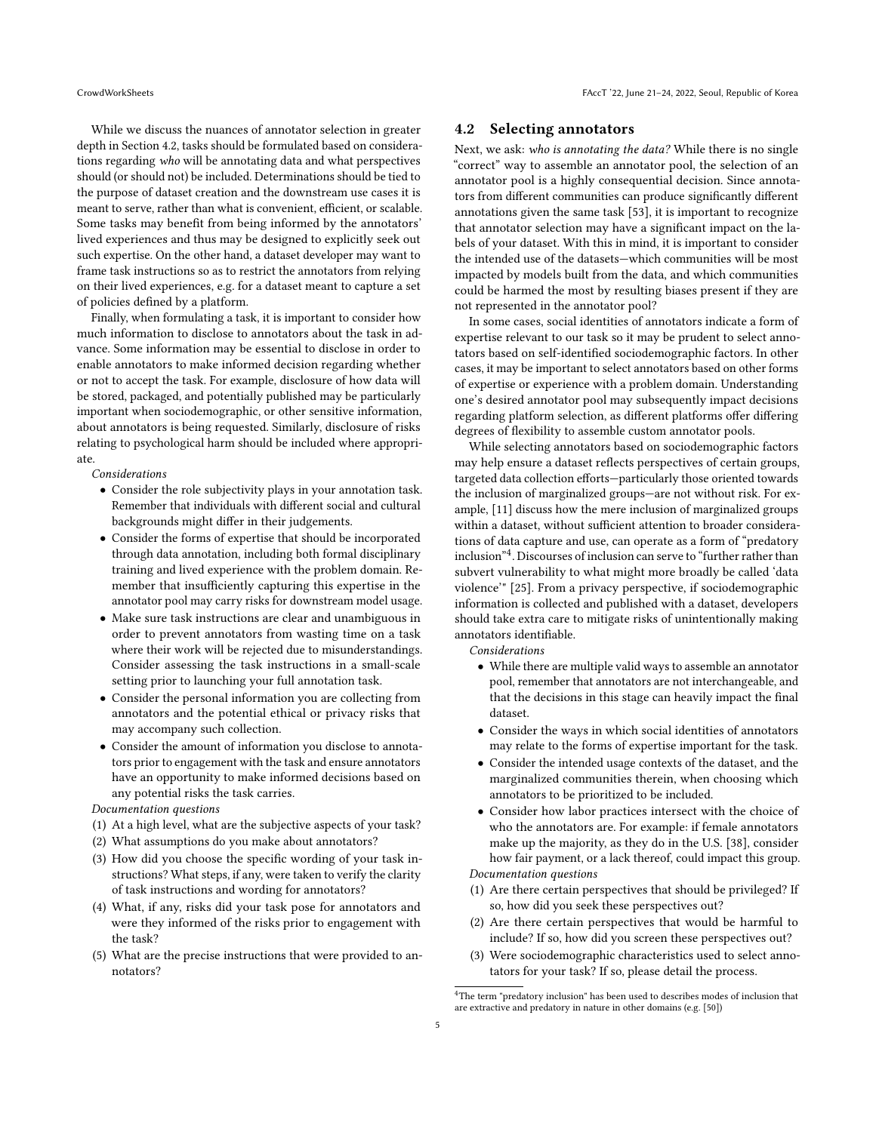While we discuss the nuances of annotator selection in greater depth in Section [4.2,](#page-4-0) tasks should be formulated based on considerations regarding who will be annotating data and what perspectives should (or should not) be included. Determinations should be tied to the purpose of dataset creation and the downstream use cases it is meant to serve, rather than what is convenient, efficient, or scalable. Some tasks may benefit from being informed by the annotators' lived experiences and thus may be designed to explicitly seek out such expertise. On the other hand, a dataset developer may want to frame task instructions so as to restrict the annotators from relying on their lived experiences, e.g. for a dataset meant to capture a set of policies defined by a platform.

Finally, when formulating a task, it is important to consider how much information to disclose to annotators about the task in advance. Some information may be essential to disclose in order to enable annotators to make informed decision regarding whether or not to accept the task. For example, disclosure of how data will be stored, packaged, and potentially published may be particularly important when sociodemographic, or other sensitive information, about annotators is being requested. Similarly, disclosure of risks relating to psychological harm should be included where appropriate.

Considerations

- Consider the role subjectivity plays in your annotation task. Remember that individuals with different social and cultural backgrounds might differ in their judgements.
- Consider the forms of expertise that should be incorporated through data annotation, including both formal disciplinary training and lived experience with the problem domain. Remember that insufficiently capturing this expertise in the annotator pool may carry risks for downstream model usage.
- Make sure task instructions are clear and unambiguous in order to prevent annotators from wasting time on a task where their work will be rejected due to misunderstandings. Consider assessing the task instructions in a small-scale setting prior to launching your full annotation task.
- Consider the personal information you are collecting from annotators and the potential ethical or privacy risks that may accompany such collection.
- Consider the amount of information you disclose to annotators prior to engagement with the task and ensure annotators have an opportunity to make informed decisions based on any potential risks the task carries.

Documentation questions

- (1) At a high level, what are the subjective aspects of your task?
- (2) What assumptions do you make about annotators?
- (3) How did you choose the specific wording of your task instructions? What steps, if any, were taken to verify the clarity of task instructions and wording for annotators?
- (4) What, if any, risks did your task pose for annotators and were they informed of the risks prior to engagement with the task?
- (5) What are the precise instructions that were provided to annotators?

#### <span id="page-4-0"></span>4.2 Selecting annotators

Next, we ask: who is annotating the data? While there is no single "correct" way to assemble an annotator pool, the selection of an annotator pool is a highly consequential decision. Since annotators from different communities can produce significantly different annotations given the same task [\[53\]](#page-9-17), it is important to recognize that annotator selection may have a significant impact on the labels of your dataset. With this in mind, it is important to consider the intended use of the datasets—which communities will be most impacted by models built from the data, and which communities could be harmed the most by resulting biases present if they are not represented in the annotator pool?

In some cases, social identities of annotators indicate a form of expertise relevant to our task so it may be prudent to select annotators based on self-identified sociodemographic factors. In other cases, it may be important to select annotators based on other forms of expertise or experience with a problem domain. Understanding one's desired annotator pool may subsequently impact decisions regarding platform selection, as different platforms offer differing degrees of flexibility to assemble custom annotator pools.

While selecting annotators based on sociodemographic factors may help ensure a dataset reflects perspectives of certain groups, targeted data collection efforts—particularly those oriented towards the inclusion of marginalized groups—are not without risk. For example, [\[11\]](#page-8-11) discuss how the mere inclusion of marginalized groups within a dataset, without sufficient attention to broader considerations of data capture and use, can operate as a form of "predatory inclusion"[4](#page-4-1) . Discourses of inclusion can serve to "further rather than subvert vulnerability to what might more broadly be called 'data violence'" [\[25\]](#page-9-37). From a privacy perspective, if sociodemographic information is collected and published with a dataset, developers should take extra care to mitigate risks of unintentionally making annotators identifiable.

Considerations

- While there are multiple valid ways to assemble an annotator pool, remember that annotators are not interchangeable, and that the decisions in this stage can heavily impact the final dataset.
- Consider the ways in which social identities of annotators may relate to the forms of expertise important for the task.
- Consider the intended usage contexts of the dataset, and the marginalized communities therein, when choosing which annotators to be prioritized to be included.
- Consider how labor practices intersect with the choice of who the annotators are. For example: if female annotators make up the majority, as they do in the U.S. [\[38\]](#page-9-19), consider how fair payment, or a lack thereof, could impact this group. Documentation questions

(1) Are there certain perspectives that should be privileged? If so, how did you seek these perspectives out?

- (2) Are there certain perspectives that would be harmful to include? If so, how did you screen these perspectives out?
- (3) Were sociodemographic characteristics used to select annotators for your task? If so, please detail the process.

<span id="page-4-1"></span><sup>&</sup>lt;sup>4</sup>The term "predatory inclusion" has been used to describes modes of inclusion that are extractive and predatory in nature in other domains (e.g. [\[50\]](#page-9-38))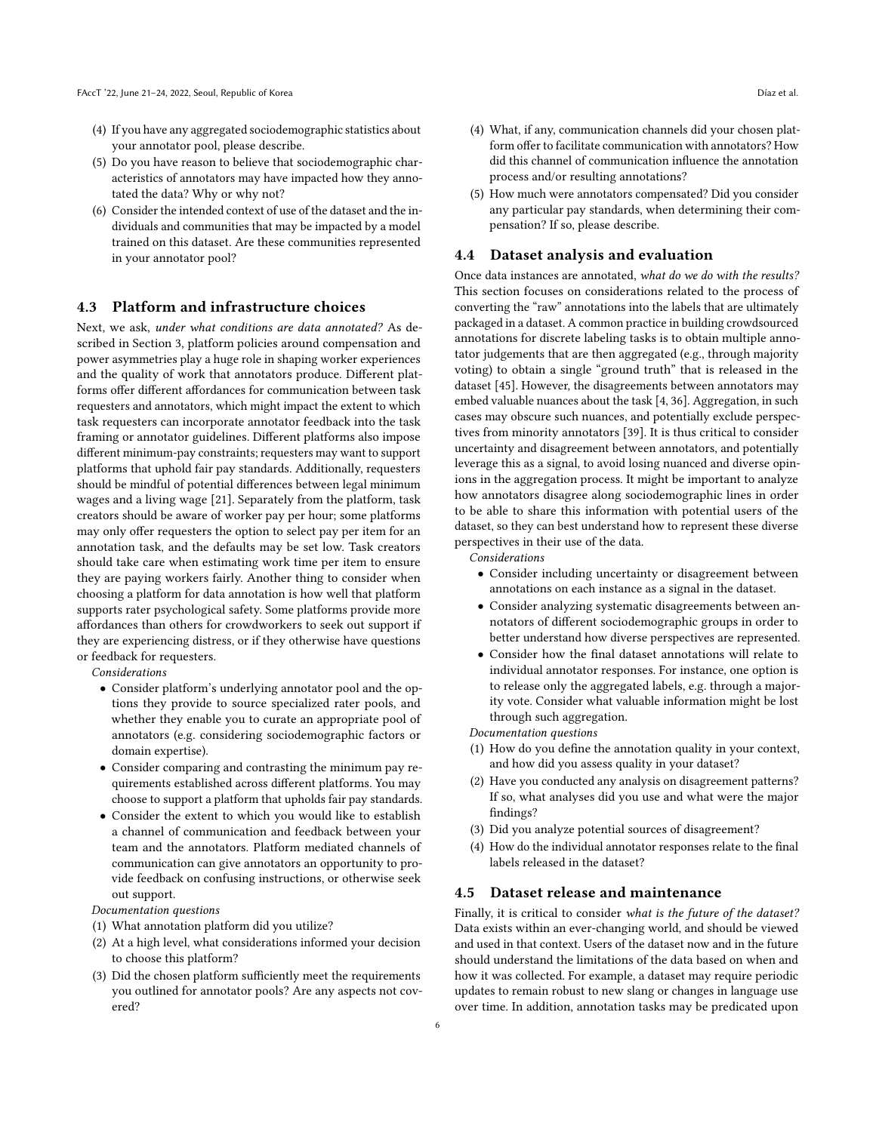- (4) If you have any aggregated sociodemographic statistics about your annotator pool, please describe.
- (5) Do you have reason to believe that sociodemographic characteristics of annotators may have impacted how they annotated the data? Why or why not?
- (6) Consider the intended context of use of the dataset and the individuals and communities that may be impacted by a model trained on this dataset. Are these communities represented in your annotator pool?

## 4.3 Platform and infrastructure choices

Next, we ask, under what conditions are data annotated? As described in Section [3,](#page-2-1) platform policies around compensation and power asymmetries play a huge role in shaping worker experiences and the quality of work that annotators produce. Different platforms offer different affordances for communication between task requesters and annotators, which might impact the extent to which task requesters can incorporate annotator feedback into the task framing or annotator guidelines. Different platforms also impose different minimum-pay constraints; requesters may want to support platforms that uphold fair pay standards. Additionally, requesters should be mindful of potential differences between legal minimum wages and a living wage [\[21\]](#page-9-39). Separately from the platform, task creators should be aware of worker pay per hour; some platforms may only offer requesters the option to select pay per item for an annotation task, and the defaults may be set low. Task creators should take care when estimating work time per item to ensure they are paying workers fairly. Another thing to consider when choosing a platform for data annotation is how well that platform supports rater psychological safety. Some platforms provide more affordances than others for crowdworkers to seek out support if they are experiencing distress, or if they otherwise have questions or feedback for requesters.

Considerations

- Consider platform's underlying annotator pool and the options they provide to source specialized rater pools, and whether they enable you to curate an appropriate pool of annotators (e.g. considering sociodemographic factors or domain expertise).
- Consider comparing and contrasting the minimum pay requirements established across different platforms. You may choose to support a platform that upholds fair pay standards.
- Consider the extent to which you would like to establish a channel of communication and feedback between your team and the annotators. Platform mediated channels of communication can give annotators an opportunity to provide feedback on confusing instructions, or otherwise seek out support.

Documentation questions

- (1) What annotation platform did you utilize?
- (2) At a high level, what considerations informed your decision to choose this platform?
- (3) Did the chosen platform sufficiently meet the requirements you outlined for annotator pools? Are any aspects not covered?
- (4) What, if any, communication channels did your chosen platform offer to facilitate communication with annotators? How did this channel of communication influence the annotation process and/or resulting annotations?
- (5) How much were annotators compensated? Did you consider any particular pay standards, when determining their compensation? If so, please describe.

#### 4.4 Dataset analysis and evaluation

Once data instances are annotated, what do we do with the results? This section focuses on considerations related to the process of converting the "raw" annotations into the labels that are ultimately packaged in a dataset. A common practice in building crowdsourced annotations for discrete labeling tasks is to obtain multiple annotator judgements that are then aggregated (e.g., through majority voting) to obtain a single "ground truth" that is released in the dataset [\[45\]](#page-9-40). However, the disagreements between annotators may embed valuable nuances about the task [\[4,](#page-8-12) [36\]](#page-9-41). Aggregation, in such cases may obscure such nuances, and potentially exclude perspectives from minority annotators [\[39\]](#page-9-42). It is thus critical to consider uncertainty and disagreement between annotators, and potentially leverage this as a signal, to avoid losing nuanced and diverse opinions in the aggregation process. It might be important to analyze how annotators disagree along sociodemographic lines in order to be able to share this information with potential users of the dataset, so they can best understand how to represent these diverse perspectives in their use of the data.

Considerations

- Consider including uncertainty or disagreement between annotations on each instance as a signal in the dataset.
- Consider analyzing systematic disagreements between annotators of different sociodemographic groups in order to better understand how diverse perspectives are represented.
- Consider how the final dataset annotations will relate to individual annotator responses. For instance, one option is to release only the aggregated labels, e.g. through a majority vote. Consider what valuable information might be lost through such aggregation.

Documentation questions

- (1) How do you define the annotation quality in your context, and how did you assess quality in your dataset?
- (2) Have you conducted any analysis on disagreement patterns? If so, what analyses did you use and what were the major findings?
- (3) Did you analyze potential sources of disagreement?
- (4) How do the individual annotator responses relate to the final labels released in the dataset?

#### 4.5 Dataset release and maintenance

Finally, it is critical to consider what is the future of the dataset? Data exists within an ever-changing world, and should be viewed and used in that context. Users of the dataset now and in the future should understand the limitations of the data based on when and how it was collected. For example, a dataset may require periodic updates to remain robust to new slang or changes in language use over time. In addition, annotation tasks may be predicated upon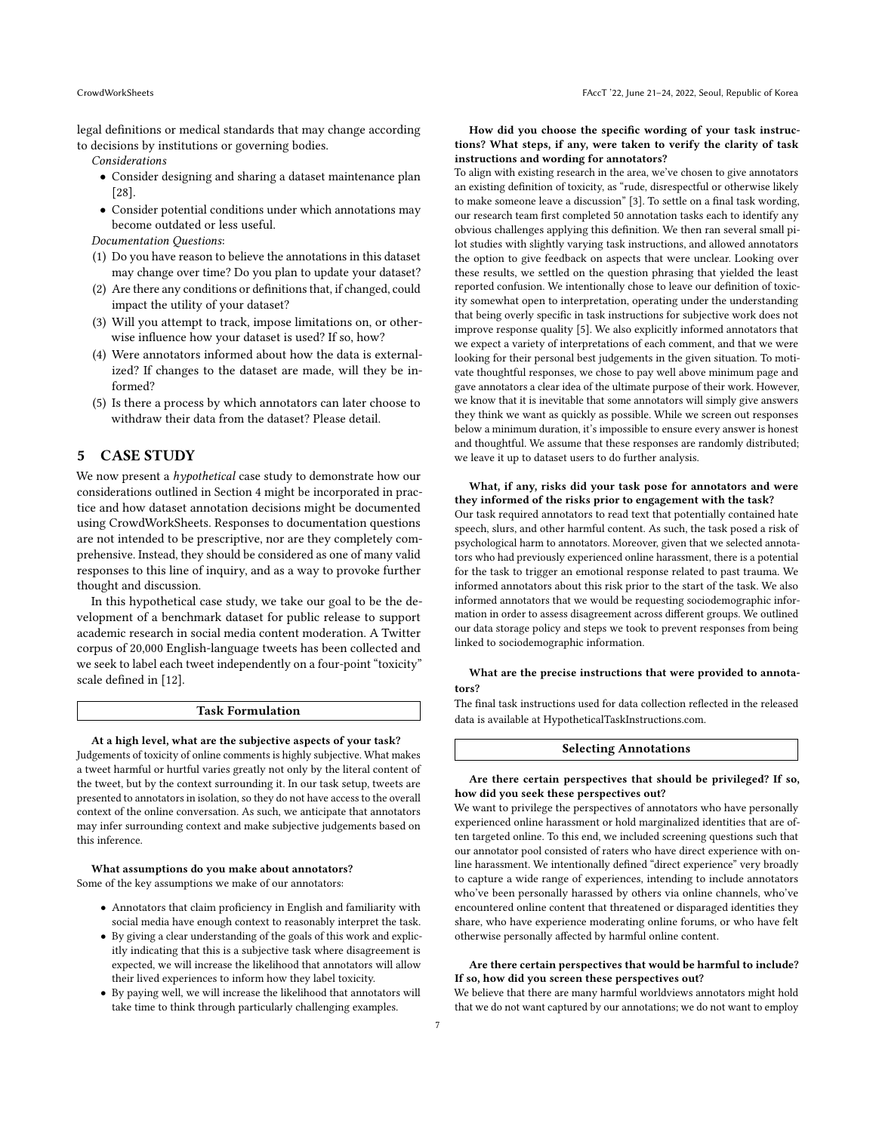legal definitions or medical standards that may change according to decisions by institutions or governing bodies.

Considerations

- Consider designing and sharing a dataset maintenance plan [\[28\]](#page-9-43).
- Consider potential conditions under which annotations may become outdated or less useful.

Documentation Questions:

- (1) Do you have reason to believe the annotations in this dataset may change over time? Do you plan to update your dataset?
- (2) Are there any conditions or definitions that, if changed, could impact the utility of your dataset?
- (3) Will you attempt to track, impose limitations on, or otherwise influence how your dataset is used? If so, how?
- (4) Were annotators informed about how the data is externalized? If changes to the dataset are made, will they be informed?
- (5) Is there a process by which annotators can later choose to withdraw their data from the dataset? Please detail.

## 5 CASE STUDY

We now present a *hypothetical* case study to demonstrate how our considerations outlined in Section [4](#page-3-0) might be incorporated in practice and how dataset annotation decisions might be documented using CrowdWorkSheets. Responses to documentation questions are not intended to be prescriptive, nor are they completely comprehensive. Instead, they should be considered as one of many valid responses to this line of inquiry, and as a way to provoke further thought and discussion.

In this hypothetical case study, we take our goal to be the development of a benchmark dataset for public release to support academic research in social media content moderation. A Twitter corpus of 20,000 English-language tweets has been collected and we seek to label each tweet independently on a four-point "toxicity" scale defined in [\[12\]](#page-8-13).

#### Task Formulation

At a high level, what are the subjective aspects of your task? Judgements of toxicity of online comments is highly subjective. What makes a tweet harmful or hurtful varies greatly not only by the literal content of the tweet, but by the context surrounding it. In our task setup, tweets are presented to annotators in isolation, so they do not have access to the overall context of the online conversation. As such, we anticipate that annotators may infer surrounding context and make subjective judgements based on this inference.

What assumptions do you make about annotators? Some of the key assumptions we make of our annotators:

- Annotators that claim proficiency in English and familiarity with social media have enough context to reasonably interpret the task.
- By giving a clear understanding of the goals of this work and explicitly indicating that this is a subjective task where disagreement is expected, we will increase the likelihood that annotators will allow their lived experiences to inform how they label toxicity.
- By paying well, we will increase the likelihood that annotators will take time to think through particularly challenging examples.

#### How did you choose the specific wording of your task instructions? What steps, if any, were taken to verify the clarity of task instructions and wording for annotators?

To align with existing research in the area, we've chosen to give annotators an existing definition of toxicity, as "rude, disrespectful or otherwise likely to make someone leave a discussion" [\[3\]](#page-8-14). To settle on a final task wording, our research team first completed 50 annotation tasks each to identify any obvious challenges applying this definition. We then ran several small pilot studies with slightly varying task instructions, and allowed annotators the option to give feedback on aspects that were unclear. Looking over these results, we settled on the question phrasing that yielded the least reported confusion. We intentionally chose to leave our definition of toxicity somewhat open to interpretation, operating under the understanding that being overly specific in task instructions for subjective work does not improve response quality [\[5\]](#page-8-6). We also explicitly informed annotators that we expect a variety of interpretations of each comment, and that we were looking for their personal best judgements in the given situation. To motivate thoughtful responses, we chose to pay well above minimum page and gave annotators a clear idea of the ultimate purpose of their work. However, we know that it is inevitable that some annotators will simply give answers they think we want as quickly as possible. While we screen out responses below a minimum duration, it's impossible to ensure every answer is honest and thoughtful. We assume that these responses are randomly distributed; we leave it up to dataset users to do further analysis.

#### What, if any, risks did your task pose for annotators and were they informed of the risks prior to engagement with the task?

Our task required annotators to read text that potentially contained hate speech, slurs, and other harmful content. As such, the task posed a risk of psychological harm to annotators. Moreover, given that we selected annotators who had previously experienced online harassment, there is a potential for the task to trigger an emotional response related to past trauma. We informed annotators about this risk prior to the start of the task. We also informed annotators that we would be requesting sociodemographic information in order to assess disagreement across different groups. We outlined our data storage policy and steps we took to prevent responses from being linked to sociodemographic information.

#### What are the precise instructions that were provided to annotators?

The final task instructions used for data collection reflected in the released data is available at HypotheticalTaskInstructions.com.

#### Selecting Annotations

#### Are there certain perspectives that should be privileged? If so, how did you seek these perspectives out?

We want to privilege the perspectives of annotators who have personally experienced online harassment or hold marginalized identities that are often targeted online. To this end, we included screening questions such that our annotator pool consisted of raters who have direct experience with online harassment. We intentionally defined "direct experience" very broadly to capture a wide range of experiences, intending to include annotators who've been personally harassed by others via online channels, who've encountered online content that threatened or disparaged identities they share, who have experience moderating online forums, or who have felt otherwise personally affected by harmful online content.

#### Are there certain perspectives that would be harmful to include? If so, how did you screen these perspectives out?

We believe that there are many harmful worldviews annotators might hold that we do not want captured by our annotations; we do not want to employ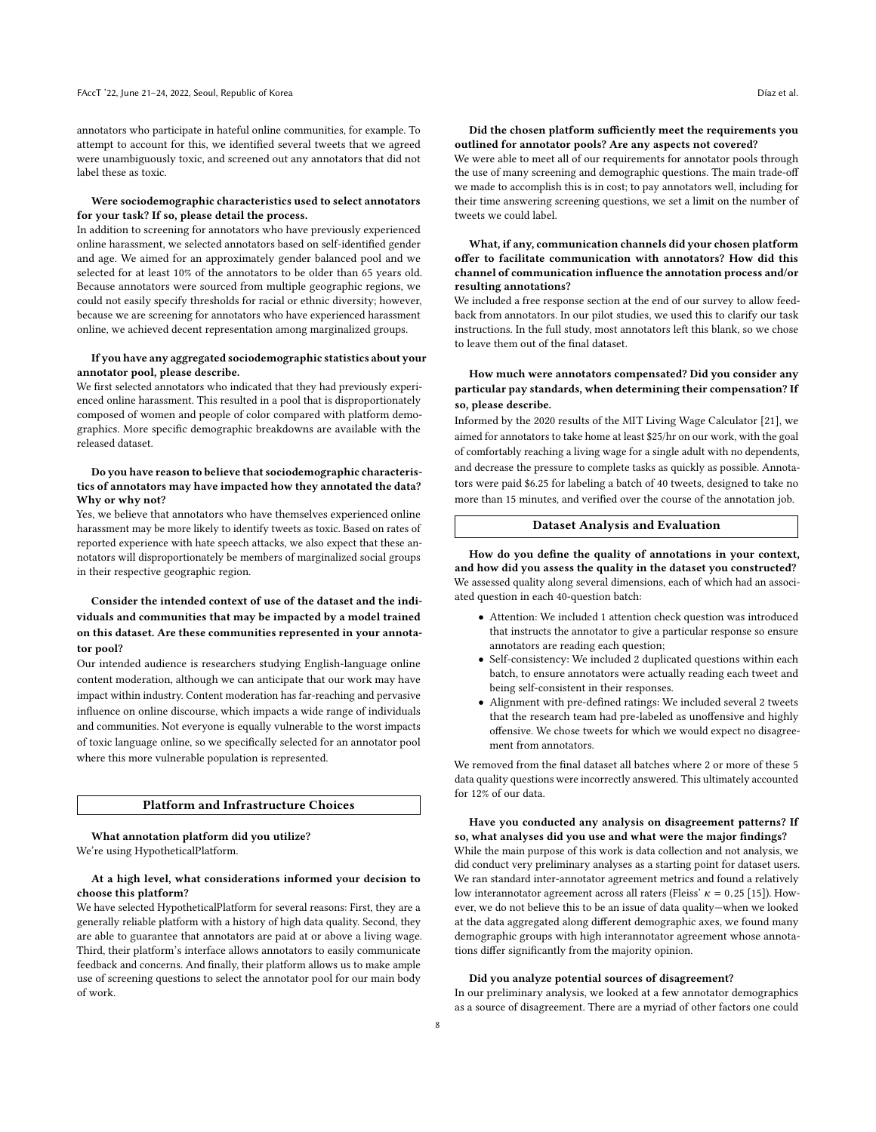annotators who participate in hateful online communities, for example. To attempt to account for this, we identified several tweets that we agreed were unambiguously toxic, and screened out any annotators that did not label these as toxic.

#### Were sociodemographic characteristics used to select annotators for your task? If so, please detail the process.

In addition to screening for annotators who have previously experienced online harassment, we selected annotators based on self-identified gender and age. We aimed for an approximately gender balanced pool and we selected for at least 10% of the annotators to be older than 65 years old. Because annotators were sourced from multiple geographic regions, we could not easily specify thresholds for racial or ethnic diversity; however, because we are screening for annotators who have experienced harassment online, we achieved decent representation among marginalized groups.

#### If you have any aggregated sociodemographic statistics about your annotator pool, please describe.

We first selected annotators who indicated that they had previously experienced online harassment. This resulted in a pool that is disproportionately composed of women and people of color compared with platform demographics. More specific demographic breakdowns are available with the released dataset.

#### Do you have reason to believe that sociodemographic characteristics of annotators may have impacted how they annotated the data? Why or why not?

Yes, we believe that annotators who have themselves experienced online harassment may be more likely to identify tweets as toxic. Based on rates of reported experience with hate speech attacks, we also expect that these annotators will disproportionately be members of marginalized social groups in their respective geographic region.

#### Consider the intended context of use of the dataset and the individuals and communities that may be impacted by a model trained on this dataset. Are these communities represented in your annotator pool?

Our intended audience is researchers studying English-language online content moderation, although we can anticipate that our work may have impact within industry. Content moderation has far-reaching and pervasive influence on online discourse, which impacts a wide range of individuals and communities. Not everyone is equally vulnerable to the worst impacts of toxic language online, so we specifically selected for an annotator pool where this more vulnerable population is represented.

#### Platform and Infrastructure Choices

What annotation platform did you utilize? We're using HypotheticalPlatform.

#### At a high level, what considerations informed your decision to choose this platform?

We have selected HypotheticalPlatform for several reasons: First, they are a generally reliable platform with a history of high data quality. Second, they are able to guarantee that annotators are paid at or above a living wage. Third, their platform's interface allows annotators to easily communicate feedback and concerns. And finally, their platform allows us to make ample use of screening questions to select the annotator pool for our main body of work.

#### Did the chosen platform sufficiently meet the requirements you outlined for annotator pools? Are any aspects not covered?

We were able to meet all of our requirements for annotator pools through the use of many screening and demographic questions. The main trade-off we made to accomplish this is in cost; to pay annotators well, including for their time answering screening questions, we set a limit on the number of tweets we could label.

#### What, if any, communication channels did your chosen platform offer to facilitate communication with annotators? How did this channel of communication influence the annotation process and/or resulting annotations?

We included a free response section at the end of our survey to allow feedback from annotators. In our pilot studies, we used this to clarify our task instructions. In the full study, most annotators left this blank, so we chose to leave them out of the final dataset.

#### How much were annotators compensated? Did you consider any particular pay standards, when determining their compensation? If so, please describe.

Informed by the 2020 results of the MIT Living Wage Calculator [\[21\]](#page-9-39), we aimed for annotators to take home at least \$25/hr on our work, with the goal of comfortably reaching a living wage for a single adult with no dependents, and decrease the pressure to complete tasks as quickly as possible. Annotators were paid \$6.25 for labeling a batch of 40 tweets, designed to take no more than 15 minutes, and verified over the course of the annotation job.

#### Dataset Analysis and Evaluation

How do you define the quality of annotations in your context, and how did you assess the quality in the dataset you constructed? We assessed quality along several dimensions, each of which had an associated question in each 40-question batch:

- Attention: We included 1 attention check question was introduced that instructs the annotator to give a particular response so ensure annotators are reading each question;
- Self-consistency: We included 2 duplicated questions within each batch, to ensure annotators were actually reading each tweet and being self-consistent in their responses.
- Alignment with pre-defined ratings: We included several 2 tweets that the research team had pre-labeled as unoffensive and highly offensive. We chose tweets for which we would expect no disagreement from annotators.

We removed from the final dataset all batches where 2 or more of these 5 data quality questions were incorrectly answered. This ultimately accounted for 12% of our data.

Have you conducted any analysis on disagreement patterns? If so, what analyses did you use and what were the major findings? While the main purpose of this work is data collection and not analysis, we did conduct very preliminary analyses as a starting point for dataset users. We ran standard inter-annotator agreement metrics and found a relatively low interannotator agreement across all raters (Fleiss'  $\kappa = 0.25$  [\[15\]](#page-8-15)). However, we do not believe this to be an issue of data quality—when we looked at the data aggregated along different demographic axes, we found many demographic groups with high interannotator agreement whose annotations differ significantly from the majority opinion.

#### Did you analyze potential sources of disagreement?

In our preliminary analysis, we looked at a few annotator demographics as a source of disagreement. There are a myriad of other factors one could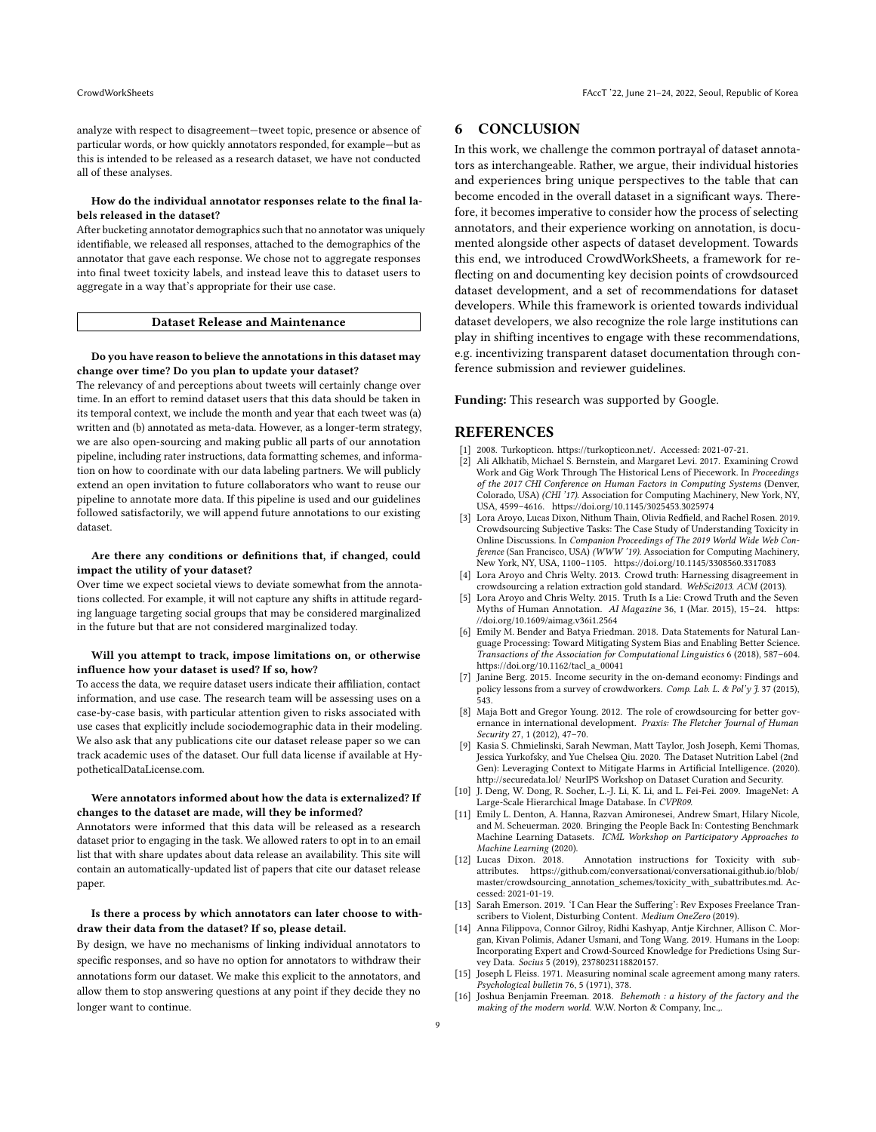analyze with respect to disagreement—tweet topic, presence or absence of particular words, or how quickly annotators responded, for example—but as this is intended to be released as a research dataset, we have not conducted all of these analyses.

#### How do the individual annotator responses relate to the final labels released in the dataset?

After bucketing annotator demographics such that no annotator was uniquely identifiable, we released all responses, attached to the demographics of the annotator that gave each response. We chose not to aggregate responses into final tweet toxicity labels, and instead leave this to dataset users to aggregate in a way that's appropriate for their use case.

#### Dataset Release and Maintenance

#### Do you have reason to believe the annotations in this dataset may change over time? Do you plan to update your dataset?

The relevancy of and perceptions about tweets will certainly change over time. In an effort to remind dataset users that this data should be taken in its temporal context, we include the month and year that each tweet was (a) written and (b) annotated as meta-data. However, as a longer-term strategy, we are also open-sourcing and making public all parts of our annotation pipeline, including rater instructions, data formatting schemes, and information on how to coordinate with our data labeling partners. We will publicly extend an open invitation to future collaborators who want to reuse our pipeline to annotate more data. If this pipeline is used and our guidelines followed satisfactorily, we will append future annotations to our existing dataset.

#### Are there any conditions or definitions that, if changed, could impact the utility of your dataset?

Over time we expect societal views to deviate somewhat from the annotations collected. For example, it will not capture any shifts in attitude regarding language targeting social groups that may be considered marginalized in the future but that are not considered marginalized today.

#### Will you attempt to track, impose limitations on, or otherwise influence how your dataset is used? If so, how?

To access the data, we require dataset users indicate their affiliation, contact information, and use case. The research team will be assessing uses on a case-by-case basis, with particular attention given to risks associated with use cases that explicitly include sociodemographic data in their modeling. We also ask that any publications cite our dataset release paper so we can track academic uses of the dataset. Our full data license if available at HypotheticalDataLicense.com.

#### Were annotators informed about how the data is externalized? If changes to the dataset are made, will they be informed?

Annotators were informed that this data will be released as a research dataset prior to engaging in the task. We allowed raters to opt in to an email list that with share updates about data release an availability. This site will contain an automatically-updated list of papers that cite our dataset release paper.

#### Is there a process by which annotators can later choose to withdraw their data from the dataset? If so, please detail.

By design, we have no mechanisms of linking individual annotators to specific responses, and so have no option for annotators to withdraw their annotations form our dataset. We make this explicit to the annotators, and allow them to stop answering questions at any point if they decide they no longer want to continue.

## 6 CONCLUSION

In this work, we challenge the common portrayal of dataset annotators as interchangeable. Rather, we argue, their individual histories and experiences bring unique perspectives to the table that can become encoded in the overall dataset in a significant ways. Therefore, it becomes imperative to consider how the process of selecting annotators, and their experience working on annotation, is documented alongside other aspects of dataset development. Towards this end, we introduced CrowdWorkSheets, a framework for reflecting on and documenting key decision points of crowdsourced dataset development, and a set of recommendations for dataset developers. While this framework is oriented towards individual dataset developers, we also recognize the role large institutions can play in shifting incentives to engage with these recommendations, e.g. incentivizing transparent dataset documentation through conference submission and reviewer guidelines.

Funding: This research was supported by Google.

## **REFERENCES**

- <span id="page-8-10"></span>[1] 2008. Turkopticon. [https://turkopticon.net/.](https://turkopticon.net/) Accessed: 2021-07-21.
- <span id="page-8-4"></span>[2] Ali Alkhatib, Michael S. Bernstein, and Margaret Levi. 2017. Examining Crowd Work and Gig Work Through The Historical Lens of Piecework. In Proceedings of the 2017 CHI Conference on Human Factors in Computing Systems (Denver, Colorado, USA) (CHI '17). Association for Computing Machinery, New York, NY, USA, 4599–4616.<https://doi.org/10.1145/3025453.3025974>
- <span id="page-8-14"></span>[3] Lora Aroyo, Lucas Dixon, Nithum Thain, Olivia Redfield, and Rachel Rosen. 2019. Crowdsourcing Subjective Tasks: The Case Study of Understanding Toxicity in Online Discussions. In Companion Proceedings of The 2019 World Wide Web Conference (San Francisco, USA) (WWW '19). Association for Computing Machinery, New York, NY, USA, 1100–1105.<https://doi.org/10.1145/3308560.3317083>
- <span id="page-8-12"></span>[4] Lora Aroyo and Chris Welty. 2013. Crowd truth: Harnessing disagreement in crowdsourcing a relation extraction gold standard. WebSci2013. ACM (2013).
- <span id="page-8-6"></span>[5] Lora Aroyo and Chris Welty. 2015. Truth Is a Lie: Crowd Truth and the Seven Myths of Human Annotation. AI Magazine 36, 1 (Mar. 2015), 15–24. [https:](https://doi.org/10.1609/aimag.v36i1.2564) [//doi.org/10.1609/aimag.v36i1.2564](https://doi.org/10.1609/aimag.v36i1.2564)
- <span id="page-8-2"></span>[6] Emily M. Bender and Batya Friedman. 2018. Data Statements for Natural Language Processing: Toward Mitigating System Bias and Enabling Better Science. Transactions of the Association for Computational Linguistics 6 (2018), 587–604. [https://doi.org/10.1162/tacl\\_a\\_00041](https://doi.org/10.1162/tacl_a_00041)
- <span id="page-8-7"></span>[7] Janine Berg. 2015. Income security in the on-demand economy: Findings and policy lessons from a survey of crowdworkers. *Comp. Lab. L. & Pol'y J.* 37 (2015),<br>543.
- <span id="page-8-9"></span>[8] Maja Bott and Gregor Young. 2012. The role of crowdsourcing for better governance in international development. Praxis: The Fletcher Journal of Human Security 27, 1 (2012), 47–70.
- <span id="page-8-3"></span>[9] Kasia S. Chmielinski, Sarah Newman, Matt Taylor, Josh Joseph, Kemi Thomas, Jessica Yurkofsky, and Yue Chelsea Qiu. 2020. The Dataset Nutrition Label (2nd Gen): Leveraging Context to Mitigate Harms in Artificial Intelligence. (2020). <http://securedata.lol/> NeurIPS Workshop on Dataset Curation and Security.
- <span id="page-8-0"></span>[10] J. Deng, W. Dong, R. Socher, L.-J. Li, K. Li, and L. Fei-Fei. 2009. ImageNet: A Large-Scale Hierarchical Image Database. In CVPR09.
- <span id="page-8-11"></span>[11] Emily L. Denton, A. Hanna, Razvan Amironesei, Andrew Smart, Hilary Nicole, and M. Scheuerman. 2020. Bringing the People Back In: Contesting Benchmark Machine Learning Datasets. ICML Workshop on Participatory Approaches to Machine Learning (2020).<br>[12] Lucas Dixon. 2018.
- <span id="page-8-13"></span>Annotation instructions for Toxicity with subattributes. [https://github.com/conversationai/conversationai.github.io/blob/](https://github.com/conversationai/conversationai.github.io/blob/master/crowdsourcing_annotation_schemes/toxicity_with_subattributes.md) [master/crowdsourcing\\_annotation\\_schemes/toxicity\\_with\\_subattributes.md.](https://github.com/conversationai/conversationai.github.io/blob/master/crowdsourcing_annotation_schemes/toxicity_with_subattributes.md) Accessed: 2021-01-19.
- <span id="page-8-8"></span>[13] Sarah Emerson. 2019. 'I Can Hear the Suffering': Rev Exposes Freelance Transcribers to Violent, Disturbing Content. Medium OneZero (2019).
- <span id="page-8-1"></span>[14] Anna Filippova, Connor Gilroy, Ridhi Kashyap, Antje Kirchner, Allison C. Morgan, Kivan Polimis, Adaner Usmani, and Tong Wang. 2019. Humans in the Loop: Incorporating Expert and Crowd-Sourced Knowledge for Predictions Using Survey Data. Socius 5 (2019), 2378023118820157.
- <span id="page-8-15"></span>[15] Joseph L Fleiss. 1971. Measuring nominal scale agreement among many raters. Psychological bulletin 76, 5 (1971), 378.
- <span id="page-8-5"></span>[16] Joshua Benjamin Freeman. 2018. Behemoth : a history of the factory and the making of the modern world. W.W. Norton & Company, Inc.,.